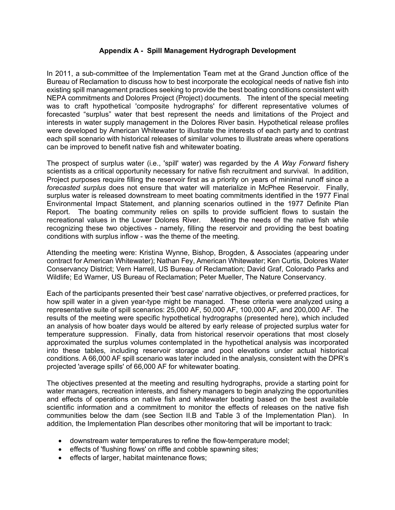## **Appendix A - Spill Management Hydrograph Development**

In 2011, a sub-committee of the Implementation Team met at the Grand Junction office of the Bureau of Reclamation to discuss how to best incorporate the ecological needs of native fish into existing spill management practices seeking to provide the best boating conditions consistent with NEPA commitments and Dolores Project (Project) documents. The intent of the special meeting was to craft hypothetical 'composite hydrographs' for different representative volumes of forecasted "surplus" water that best represent the needs and limitations of the Project and interests in water supply management in the Dolores River basin. Hypothetical release profiles were developed by American Whitewater to illustrate the interests of each party and to contrast each spill scenario with historical releases of similar volumes to illustrate areas where operations can be improved to benefit native fish and whitewater boating.

The prospect of surplus water (i.e., 'spill' water) was regarded by the *A Way Forward* fishery scientists as a critical opportunity necessary for native fish recruitment and survival. In addition, Project purposes require filling the reservoir first as a priority on years of minimal runoff since a *forecasted surplus* does not ensure that water will materialize in McPhee Reservoir. Finally, surplus water is released downstream to meet boating commitments identified in the 1977 Final Environmental Impact Statement, and planning scenarios outlined in the 1977 Definite Plan Report. The boating community relies on spills to provide sufficient flows to sustain the recreational values in the Lower Dolores River. Meeting the needs of the native fish while recognizing these two objectives - namely, filling the reservoir and providing the best boating conditions with surplus inflow - was the theme of the meeting.

Attending the meeting were: Kristina Wynne, Bishop, Brogden, & Associates (appearing under contract for American Whitewater); Nathan Fey, American Whitewater; Ken Curtis, Dolores Water Conservancy District; Vern Harrell, US Bureau of Reclamation; David Graf, Colorado Parks and Wildlife; Ed Warner, US Bureau of Reclamation; Peter Mueller, The Nature Conservancy.

Each of the participants presented their 'best case' narrative objectives, or preferred practices, for how spill water in a given year-type might be managed. These criteria were analyzed using a representative suite of spill scenarios: 25,000 AF, 50,000 AF, 100,000 AF, and 200.000 AF. The results of the meeting were specific hypothetical hydrographs (presented here), which included an analysis of how boater days would be altered by early release of projected surplus water for temperature suppression. Finally, data from historical reservoir operations that most closely approximated the surplus volumes contemplated in the hypothetical analysis was incorporated into these tables, including reservoir storage and pool elevations under actual historical conditions. A 66,000 AF spill scenario was later included in the analysis, consistent with the DPR's projected 'average spills' of 66,000 AF for whitewater boating.

The objectives presented at the meeting and resulting hydrographs, provide a starting point for water managers, recreation interests, and fishery managers to begin analyzing the opportunities and effects of operations on native fish and whitewater boating based on the best available scientific information and a commitment to monitor the effects of releases on the native fish communities below the dam (see Section II.B and Table 3 of the Implementation Plan). In addition, the Implementation Plan describes other monitoring that will be important to track:

- downstream water temperatures to refine the flow-temperature model;
- effects of 'flushing flows' on riffle and cobble spawning sites;
- effects of larger, habitat maintenance flows: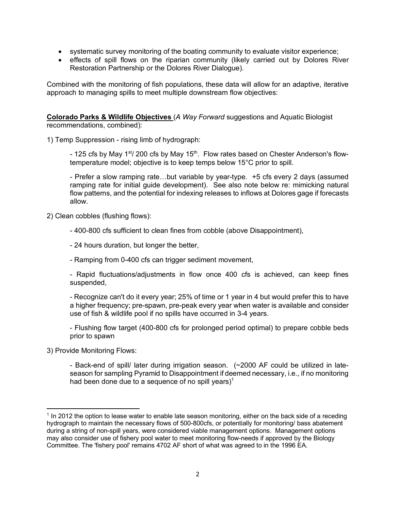- systematic survey monitoring of the boating community to evaluate visitor experience;
- effects of spill flows on the riparian community (likely carried out by Dolores River Restoration Partnership or the Dolores River Dialogue).

Combined with the monitoring of fish populations, these data will allow for an adaptive, iterative approach to managing spills to meet multiple downstream flow objectives:

**Colorado Parks & Wildlife Objectives** (*A Way Forward* suggestions and Aquatic Biologist recommendations, combined):

1) Temp Suppression - rising limb of hydrograph:

- 125 cfs by May 1<sup>st</sup>/ 200 cfs by May 15<sup>th</sup>. Flow rates based on Chester Anderson's flowtemperature model; objective is to keep temps below 15°C prior to spill.

- Prefer a slow ramping rate…but variable by year-type. +5 cfs every 2 days (assumed ramping rate for initial guide development). See also note below re: mimicking natural flow patterns, and the potential for indexing releases to inflows at Dolores gage if forecasts allow.

2) Clean cobbles (flushing flows):

- 400-800 cfs sufficient to clean fines from cobble (above Disappointment),
- 24 hours duration, but longer the better,
- Ramping from 0-400 cfs can trigger sediment movement,

- Rapid fluctuations/adjustments in flow once 400 cfs is achieved, can keep fines suspended,

- Recognize can't do it every year; 25% of time or 1 year in 4 but would prefer this to have a higher frequency; pre-spawn, pre-peak every year when water is available and consider use of fish & wildlife pool if no spills have occurred in 3-4 years.

- Flushing flow target (400-800 cfs for prolonged period optimal) to prepare cobble beds prior to spawn

3) Provide Monitoring Flows:

 $\overline{\phantom{a}}$ 

- Back-end of spill/ later during irrigation season. (~2000 AF could be utilized in lateseason for sampling Pyramid to Disappointment if deemed necessary, i.e., if no monitoring had been done due to a sequence of no spill years)<sup>1</sup>

<sup>&</sup>lt;sup>1</sup> In 2012 the option to lease water to enable late season monitoring, either on the back side of a receding hydrograph to maintain the necessary flows of 500-800cfs, or potentially for monitoring/ bass abatement during a string of non-spill years, were considered viable management options. Management options may also consider use of fishery pool water to meet monitoring flow-needs if approved by the Biology Committee. The 'fishery pool' remains 4702 AF short of what was agreed to in the 1996 EA.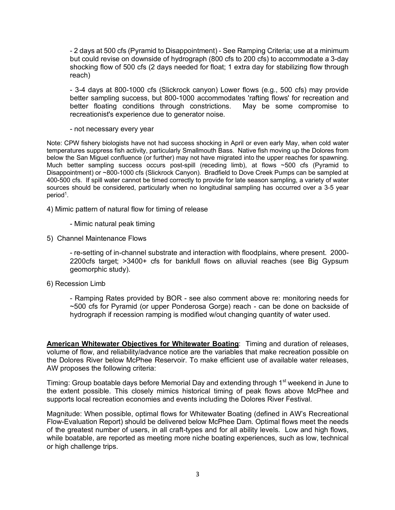- 2 days at 500 cfs (Pyramid to Disappointment) - See Ramping Criteria; use at a minimum but could revise on downside of hydrograph (800 cfs to 200 cfs) to accommodate a 3-day shocking flow of 500 cfs (2 days needed for float; 1 extra day for stabilizing flow through reach)

- 3-4 days at 800-1000 cfs (Slickrock canyon) Lower flows (e.g., 500 cfs) may provide better sampling success, but 800-1000 accommodates 'rafting flows' for recreation and better floating conditions through constrictions. May be some compromise to recreationist's experience due to generator noise.

- not necessary every year

Note: CPW fishery biologists have not had success shocking in April or even early May, when cold water temperatures suppress fish activity, particularly Smallmouth Bass. Native fish moving up the Dolores from below the San Miguel confluence (or further) may not have migrated into the upper reaches for spawning. Much better sampling success occurs post-spill (receding limb), at flows ~500 cfs (Pyramid to Disappointment) or ~800-1000 cfs (Slickrock Canyon). Bradfield to Dove Creek Pumps can be sampled at 400-500 cfs. If spill water cannot be timed correctly to provide for late season sampling, a variety of water sources should be considered, particularly when no longitudinal sampling has occurred over a 3-5 year period<sup>1</sup>.

4) Mimic pattern of natural flow for timing of release

- Mimic natural peak timing
- 5) Channel Maintenance Flows

- re-setting of in-channel substrate and interaction with floodplains, where present. 2000- 2200cfs target; >3400+ cfs for bankfull flows on alluvial reaches (see Big Gypsum geomorphic study).

#### 6) Recession Limb

- Ramping Rates provided by BOR - see also comment above re: monitoring needs for ~500 cfs for Pyramid (or upper Ponderosa Gorge) reach - can be done on backside of hydrograph if recession ramping is modified w/out changing quantity of water used.

**American Whitewater Objectives for Whitewater Boating**: Timing and duration of releases, volume of flow, and reliability/advance notice are the variables that make recreation possible on the Dolores River below McPhee Reservoir. To make efficient use of available water releases, AW proposes the following criteria:

Timing: Group boatable days before Memorial Day and extending through 1<sup>st</sup> weekend in June to the extent possible. This closely mimics historical timing of peak flows above McPhee and supports local recreation economies and events including the Dolores River Festival.

Magnitude: When possible, optimal flows for Whitewater Boating (defined in AW's Recreational Flow-Evaluation Report) should be delivered below McPhee Dam. Optimal flows meet the needs of the greatest number of users, in all craft-types and for all ability levels. Low and high flows, while boatable, are reported as meeting more niche boating experiences, such as low, technical or high challenge trips.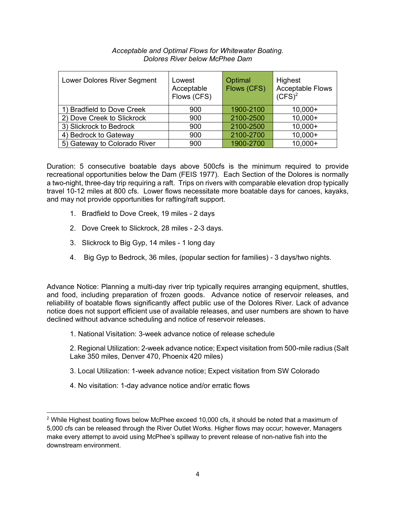| Lower Dolores River Segment  | Lowest<br>Acceptable<br>Flows (CFS) | Optimal<br>Flows (CFS) | Highest<br><b>Acceptable Flows</b><br>$(CFS)^2$ |
|------------------------------|-------------------------------------|------------------------|-------------------------------------------------|
| 1) Bradfield to Dove Creek   | 900                                 | 1900-2100              | $10,000+$                                       |
| 2) Dove Creek to Slickrock   | 900                                 | 2100-2500              | $10,000+$                                       |
| 3) Slickrock to Bedrock      | 900                                 | 2100-2500              | $10,000+$                                       |
| 4) Bedrock to Gateway        | 900                                 | 2100-2700              | $10,000+$                                       |
| 5) Gateway to Colorado River | 900                                 | 1900-2700              | $10,000+$                                       |

#### *Acceptable and Optimal Flows for Whitewater Boating. Dolores River below McPhee Dam*

Duration: 5 consecutive boatable days above 500cfs is the minimum required to provide recreational opportunities below the Dam (FEIS 1977). Each Section of the Dolores is normally a two-night, three-day trip requiring a raft. Trips on rivers with comparable elevation drop typically travel 10-12 miles at 800 cfs. Lower flows necessitate more boatable days for canoes, kayaks, and may not provide opportunities for rafting/raft support.

- 1. Bradfield to Dove Creek, 19 miles 2 days
- 2. Dove Creek to Slickrock, 28 miles 2-3 days.
- 3. Slickrock to Big Gyp, 14 miles 1 long day
- 4. Big Gyp to Bedrock, 36 miles, (popular section for families) 3 days/two nights.

Advance Notice: Planning a multi-day river trip typically requires arranging equipment, shuttles, and food, including preparation of frozen goods. Advance notice of reservoir releases, and reliability of boatable flows significantly affect public use of the Dolores River. Lack of advance notice does not support efficient use of available releases, and user numbers are shown to have declined without advance scheduling and notice of reservoir releases.

- 1. National Visitation: 3-week advance notice of release schedule
- 2. Regional Utilization: 2-week advance notice; Expect visitation from 500-mile radius (Salt Lake 350 miles, Denver 470, Phoenix 420 miles)
- 3. Local Utilization: 1-week advance notice; Expect visitation from SW Colorado
- 4. No visitation: 1-day advance notice and/or erratic flows

 $\overline{\phantom{a}}$ 

 $2$  While Highest boating flows below McPhee exceed 10,000 cfs, it should be noted that a maximum of 5,000 cfs can be released through the River Outlet Works. Higher flows may occur; however, Managers make every attempt to avoid using McPhee's spillway to prevent release of non-native fish into the downstream environment.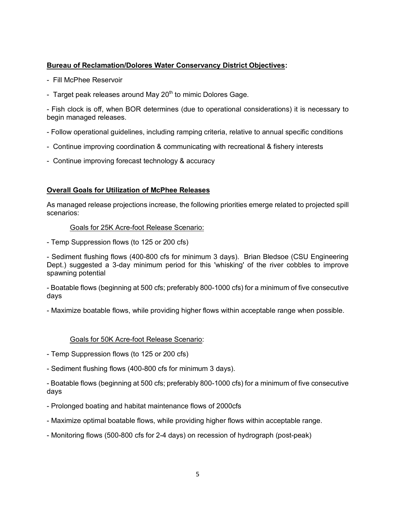# **Bureau of Reclamation/Dolores Water Conservancy District Objectives:**

- Fill McPhee Reservoir
- Target peak releases around May  $20<sup>th</sup>$  to mimic Dolores Gage.

- Fish clock is off, when BOR determines (due to operational considerations) it is necessary to begin managed releases.

- Follow operational guidelines, including ramping criteria, relative to annual specific conditions
- Continue improving coordination & communicating with recreational & fishery interests
- Continue improving forecast technology & accuracy

# **Overall Goals for Utilization of McPhee Releases**

As managed release projections increase, the following priorities emerge related to projected spill scenarios:

#### Goals for 25K Acre-foot Release Scenario:

- Temp Suppression flows (to 125 or 200 cfs)

- Sediment flushing flows (400-800 cfs for minimum 3 days). Brian Bledsoe (CSU Engineering Dept.) suggested a 3-day minimum period for this 'whisking' of the river cobbles to improve spawning potential

- Boatable flows (beginning at 500 cfs; preferably 800-1000 cfs) for a minimum of five consecutive days

- Maximize boatable flows, while providing higher flows within acceptable range when possible.

## Goals for 50K Acre-foot Release Scenario:

- Temp Suppression flows (to 125 or 200 cfs)
- Sediment flushing flows (400-800 cfs for minimum 3 days).

- Boatable flows (beginning at 500 cfs; preferably 800-1000 cfs) for a minimum of five consecutive days

- Prolonged boating and habitat maintenance flows of 2000cfs
- Maximize optimal boatable flows, while providing higher flows within acceptable range.
- Monitoring flows (500-800 cfs for 2-4 days) on recession of hydrograph (post-peak)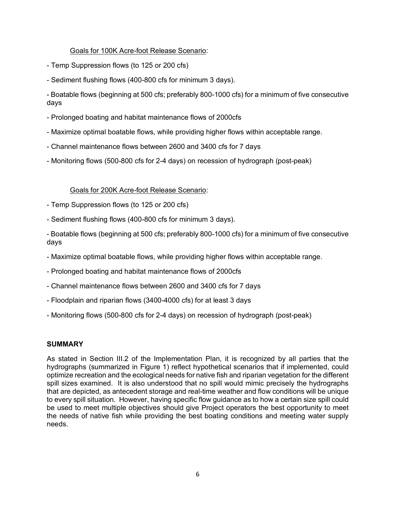# Goals for 100K Acre-foot Release Scenario:

- Temp Suppression flows (to 125 or 200 cfs)
- Sediment flushing flows (400-800 cfs for minimum 3 days).
- Boatable flows (beginning at 500 cfs; preferably 800-1000 cfs) for a minimum of five consecutive days
- Prolonged boating and habitat maintenance flows of 2000cfs
- Maximize optimal boatable flows, while providing higher flows within acceptable range.
- Channel maintenance flows between 2600 and 3400 cfs for 7 days
- Monitoring flows (500-800 cfs for 2-4 days) on recession of hydrograph (post-peak)

## Goals for 200K Acre-foot Release Scenario:

- Temp Suppression flows (to 125 or 200 cfs)
- Sediment flushing flows (400-800 cfs for minimum 3 days).
- Boatable flows (beginning at 500 cfs; preferably 800-1000 cfs) for a minimum of five consecutive days
- Maximize optimal boatable flows, while providing higher flows within acceptable range.
- Prolonged boating and habitat maintenance flows of 2000cfs
- Channel maintenance flows between 2600 and 3400 cfs for 7 days
- Floodplain and riparian flows (3400-4000 cfs) for at least 3 days
- Monitoring flows (500-800 cfs for 2-4 days) on recession of hydrograph (post-peak)

## **SUMMARY**

As stated in Section III.2 of the Implementation Plan, it is recognized by all parties that the hydrographs (summarized in Figure 1) reflect hypothetical scenarios that if implemented, could optimize recreation and the ecological needs for native fish and riparian vegetation for the different spill sizes examined. It is also understood that no spill would mimic precisely the hydrographs that are depicted, as antecedent storage and real-time weather and flow conditions will be unique to every spill situation. However, having specific flow guidance as to how a certain size spill could be used to meet multiple objectives should give Project operators the best opportunity to meet the needs of native fish while providing the best boating conditions and meeting water supply needs.